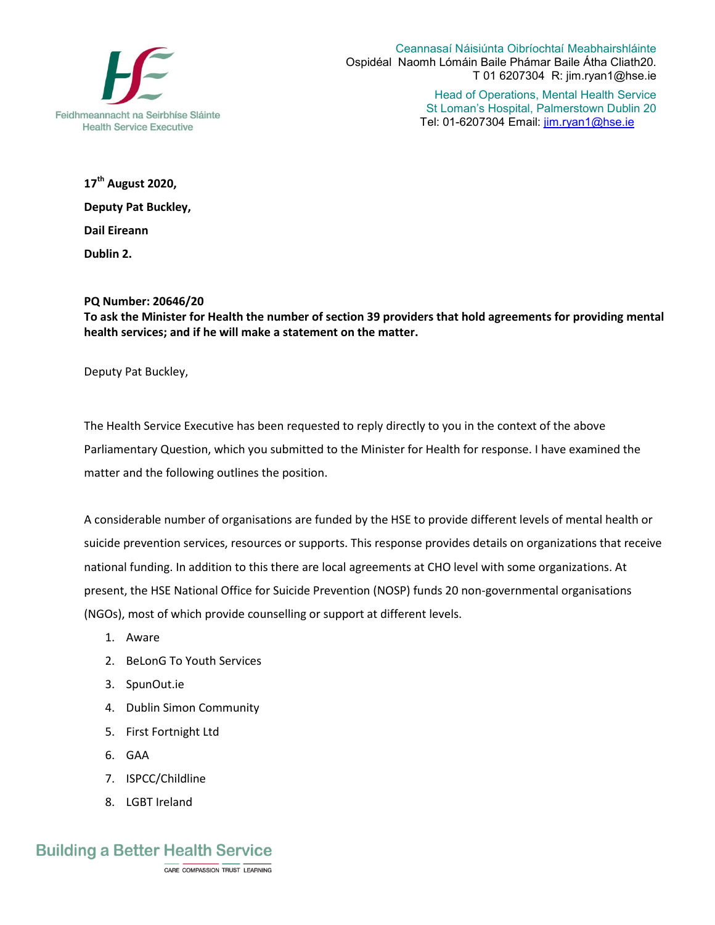

Ceannasaí Náisiúnta Oibríochtaí Meabhairshláinte Ospidéal Naomh Lómáin Baile Phámar Baile Átha Cliath20. T 01 6207304 R: jim.ryan1@hse.ie

> Head of Operations, Mental Health Service St Loman's Hospital, Palmerstown Dublin 20 Tel: 01-6207304 Email: jim.ryan1@hse.ie

**17th August 2020, Deputy Pat Buckley, Dail Eireann Dublin 2.** 

## **PQ Number: 20646/20**

**To ask the Minister for Health the number of section 39 providers that hold agreements for providing mental health services; and if he will make a statement on the matter.** 

Deputy Pat Buckley,

The Health Service Executive has been requested to reply directly to you in the context of the above Parliamentary Question, which you submitted to the Minister for Health for response. I have examined the matter and the following outlines the position.

A considerable number of organisations are funded by the HSE to provide different levels of mental health or suicide prevention services, resources or supports. This response provides details on organizations that receive national funding. In addition to this there are local agreements at CHO level with some organizations. At present, the HSE National Office for Suicide Prevention (NOSP) funds 20 non-governmental organisations (NGOs), most of which provide counselling or support at different levels.

- 1. Aware
- 2. BeLonG To Youth Services
- 3. SpunOut.ie
- 4. Dublin Simon Community
- 5. First Fortnight Ltd
- 6. GAA
- 7. ISPCC/Childline
- 8. LGBT Ireland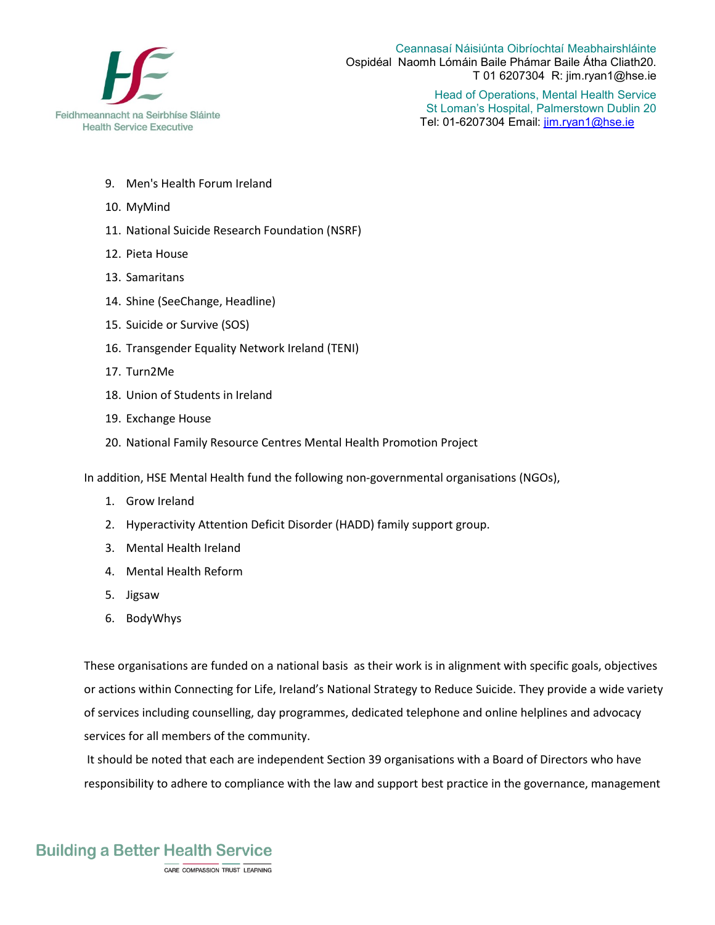

Ceannasaí Náisiúnta Oibríochtaí Meabhairshláinte Ospidéal Naomh Lómáin Baile Phámar Baile Átha Cliath20. T 01 6207304 R: jim.ryan1@hse.ie

> Head of Operations, Mental Health Service St Loman's Hospital, Palmerstown Dublin 20 Tel: 01-6207304 Email: jim.ryan1@hse.ie

- 9. Men's Health Forum Ireland
- 10. MyMind
- 11. National Suicide Research Foundation (NSRF)
- 12. Pieta House
- 13. Samaritans
- 14. Shine (SeeChange, Headline)
- 15. Suicide or Survive (SOS)
- 16. Transgender Equality Network Ireland (TENI)
- 17. Turn2Me
- 18. Union of Students in Ireland
- 19. Exchange House
- 20. National Family Resource Centres Mental Health Promotion Project

In addition, HSE Mental Health fund the following non-governmental organisations (NGOs),

- 1. Grow Ireland
- 2. Hyperactivity Attention Deficit Disorder (HADD) family support group.
- 3. Mental Health Ireland
- 4. Mental Health Reform
- 5. Jigsaw
- 6. BodyWhys

These organisations are funded on a national basis as their work is in alignment with specific goals, objectives or actions within Connecting for Life, Ireland's National Strategy to Reduce Suicide. They provide a wide variety of services including counselling, day programmes, dedicated telephone and online helplines and advocacy services for all members of the community.

It should be noted that each are independent Section 39 organisations with a Board of Directors who have responsibility to adhere to compliance with the law and support best practice in the governance, management